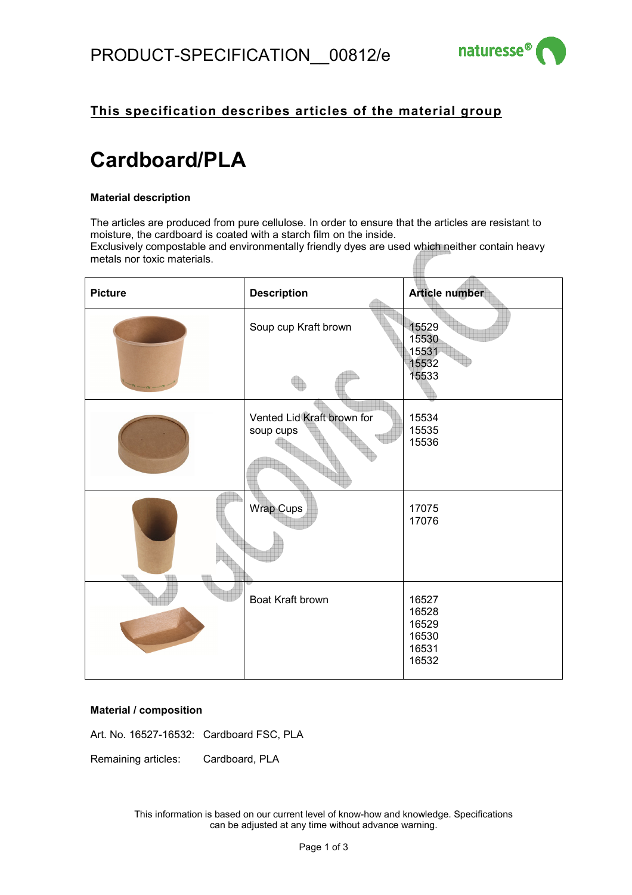

# **This specification describes articles of the material group**

# **Cardboard/PLA**

#### **Material description**

The articles are produced from pure cellulose. In order to ensure that the articles are resistant to moisture, the cardboard is coated with a starch film on the inside. Exclusively compostable and environmentally friendly dyes are used which neither contain heavy metals nor toxic materials.

| <b>Picture</b> | <b>Description</b>                      | Article number                                     |
|----------------|-----------------------------------------|----------------------------------------------------|
|                | Soup cup Kraft brown                    | 15529<br>15530<br>15531<br>15532<br>15533          |
|                | Vented Lid Kraft brown for<br>soup cups | 15534<br>15535<br>15536                            |
|                | Wrap Cups                               | 17075<br>17076                                     |
|                | Boat Kraft brown                        | 16527<br>16528<br>16529<br>16530<br>16531<br>16532 |

#### **Material / composition**

Art. No. 16527-16532: Cardboard FSC, PLA

Remaining articles: Cardboard, PLA

This information is based on our current level of know-how and knowledge. Specifications can be adjusted at any time without advance warning.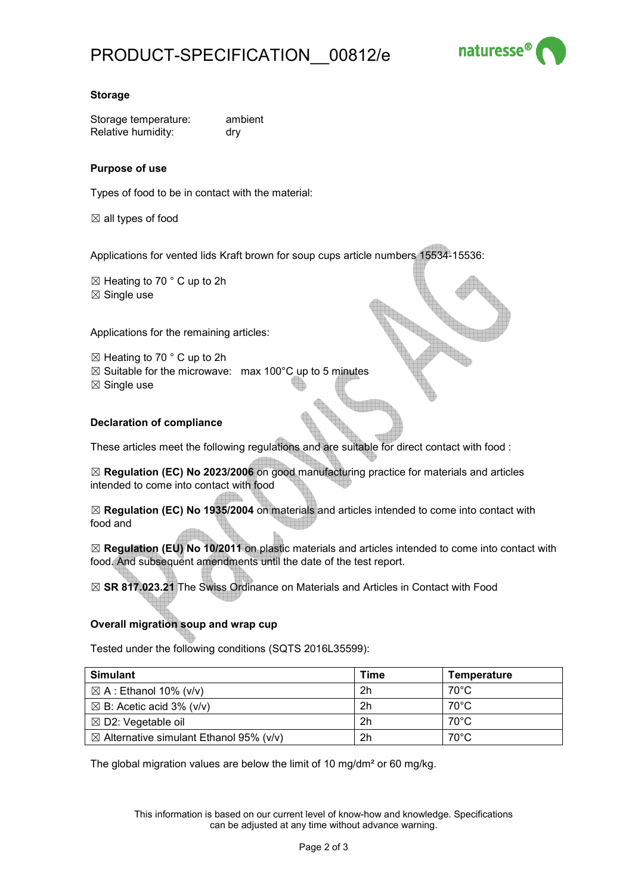

### **Storage**

Storage temperature: ambient Relative humidity: dry

## **Purpose of use**

Types of food to be in contact with the material:

 $\boxtimes$  all types of food

Applications for vented lids Kraft brown for soup cups article numbers 15534-15536:

 $\boxtimes$  Heating to 70  $\degree$  C up to 2h

 $\boxtimes$  Single use

Applications for the remaining articles:

 $\boxtimes$  Heating to 70 ° C up to 2h

- $\boxtimes$  Suitable for the microwave: max 100°C up to 5 minutes
- $\boxtimes$  Single use

# **Declaration of compliance**

These articles meet the following regulations and are suitable for direct contact with food :

☒ **Regulation (EC) No 2023/2006** on good manufacturing practice for materials and articles intended to come into contact with food

☒ **Regulation (EC) No 1935/2004** on materials and articles intended to come into contact with food and

☒ **Regulation (EU) No 10/2011** on plastic materials and articles intended to come into contact with food. And subsequent amendments until the date of the test report.

☒ **SR 817.023.21** The Swiss Ordinance on Materials and Articles in Contact with Food

#### **Overall migration soup and wrap cup**

Tested under the following conditions (SQTS 2016L35599):

| <b>Simulant</b>                                    | Time | Temperature    |
|----------------------------------------------------|------|----------------|
| $\boxtimes$ A : Ethanol 10% (v/v)                  | 2h   | $70^{\circ}$ C |
| $\boxtimes$ B: Acetic acid 3% (v/v)                | 2h   | 70°C           |
| $\boxtimes$ D2: Vegetable oil                      | 2h   | $70^{\circ}$ C |
| $\boxtimes$ Alternative simulant Ethanol 95% (v/v) | 2h   | $70^{\circ}$ C |

The global migration values are below the limit of 10 mg/dm² or 60 mg/kg.

This information is based on our current level of know-how and knowledge. Specifications can be adjusted at any time without advance warning.